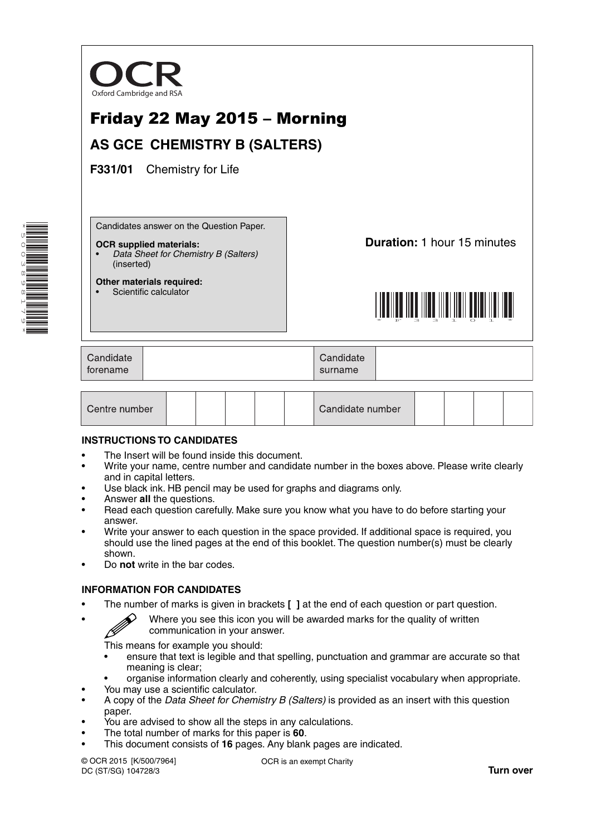

# Friday 22 May 2015 – Morning

## **AS GCE CHEMISTRY B (SALTERS)**

**F331/01** Chemistry for Life

Candidates answer on the Question Paper.

#### **OCR supplied materials:**

- *Data Sheet for Chemistry B (Salters)* (inserted)
- **Other materials required:** Scientific calculator

\*5003898179\*

**FILLER AND STARTED AND STARTED AND STARTED AND STARTED AND STARTED AND STARTED AND STARTED AND STARTED AND ST** 

**Duration:** 1 hour 15 minutes



| Candidate | Candidate |
|-----------|-----------|
| forename  | surname   |

| Centre number |  |  |  |  |  | Candidate number |  |  |  |  |  |
|---------------|--|--|--|--|--|------------------|--|--|--|--|--|
|---------------|--|--|--|--|--|------------------|--|--|--|--|--|

## **INSTRUCTIONS TO CANDIDATES**

- The Insert will be found inside this document.
- Write your name, centre number and candidate number in the boxes above. Please write clearly and in capital letters.
- Use black ink. HB pencil may be used for graphs and diagrams only.
- Answer **all** the questions.
- Read each question carefully. Make sure you know what you have to do before starting your answer.
- Write your answer to each question in the space provided. If additional space is required, you should use the lined pages at the end of this booklet. The question number(s) must be clearly shown.
- Do **not** write in the bar codes.

## **INFORMATION FOR CANDIDATES**

- The number of marks is given in brackets **[ ]** at the end of each question or part question.
- $\mathscr{D}$  Where you see this icon you will be awarded marks for the quality of written communication in your answer.

This means for example you should:

- ensure that text is legible and that spelling, punctuation and grammar are accurate so that meaning is clear;
- organise information clearly and coherently, using specialist vocabulary when appropriate.
- You may use a scientific calculator.
- A copy of the *Data Sheet for Chemistry B (Salters)* is provided as an insert with this question paper.
- You are advised to show all the steps in any calculations.
- The total number of marks for this paper is **60**.
- This document consists of **16** pages. Any blank pages are indicated.

© OCR 2015 [K/500/7964] DC (ST/SG) 104728/3

OCR is an exempt Charity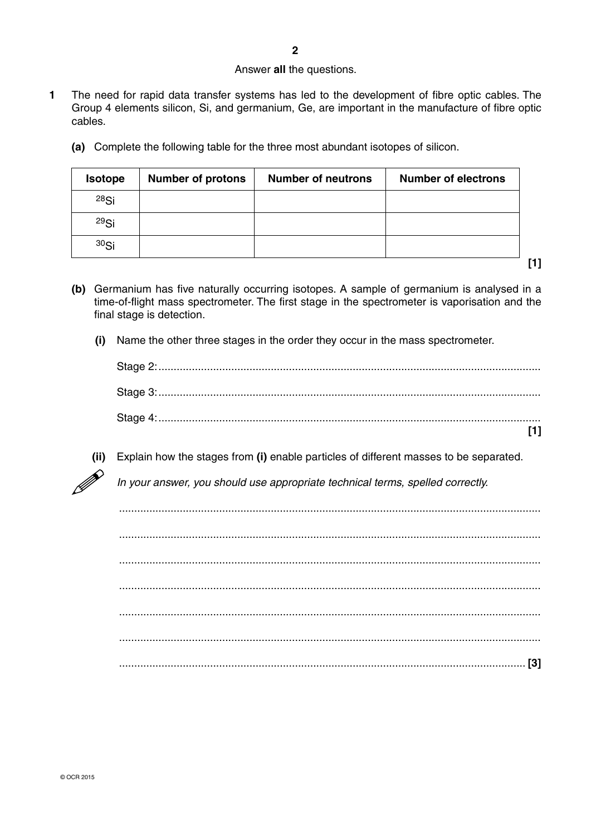## Answer **all** the questions.

- **1** The need for rapid data transfer systems has led to the development of fibre optic cables. The Group 4 elements silicon, Si, and germanium, Ge, are important in the manufacture of fibre optic cables.
	- **(a)** Complete the following table for the three most abundant isotopes of silicon.

| <b>Isotope</b> | <b>Number of protons</b> | <b>Number of neutrons</b> | <b>Number of electrons</b> |
|----------------|--------------------------|---------------------------|----------------------------|
| $^{28}$ Si     |                          |                           |                            |
| $^{29}$ Si     |                          |                           |                            |
| $30$ Si        |                          |                           |                            |
|                |                          |                           |                            |

- **(b)** Germanium has five naturally occurring isotopes. A sample of germanium is analysed in a time-of-flight mass spectrometer. The first stage in the spectrometer is vaporisation and the final stage is detection.
	- **(i)** Name the other three stages in the order they occur in the mass spectrometer.

**[1]**

 **(ii)** Explain how the stages from **(i)** enable particles of different masses to be separated.

*In your answer, you should use appropriate technical terms, spelled correctly.*

 ........................................................................................................................................... ........................................................................................................................................... ........................................................................................................................................... ........................................................................................................................................... ........................................................................................................................................... ........................................................................................................................................... ...................................................................................................................................... **[3]**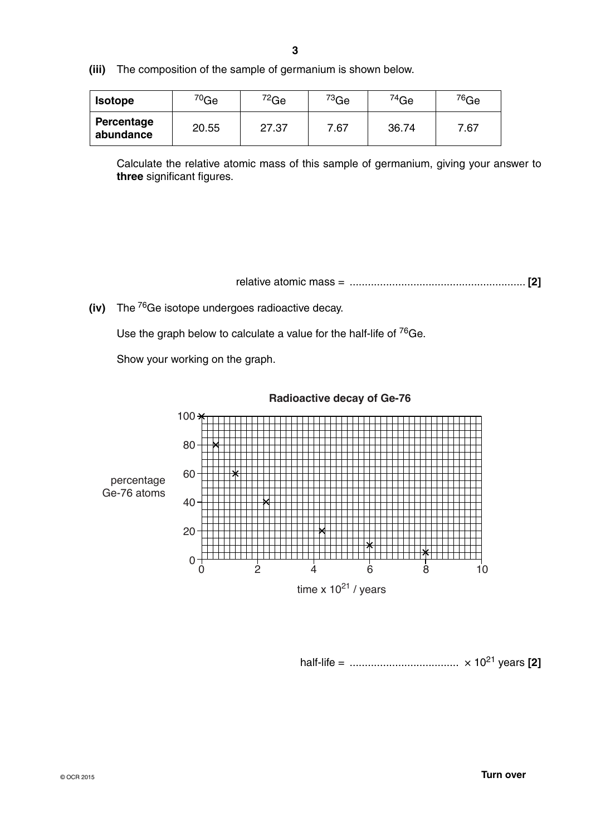**(iii)** The composition of the sample of germanium is shown below.

| <b>Isotope</b>          | $70$ Ge | $72$ Ge | $^{73}$ Ge | $74$ Ge | $76$ Ge |
|-------------------------|---------|---------|------------|---------|---------|
| Percentage<br>abundance | 20.55   | 27.37   | 7.67       | 36.74   | 7.67    |

Calculate the relative atomic mass of this sample of germanium, giving your answer to **three** significant figures.

relative atomic mass = .......................................................... **[2]**

 **(iv)** The 76Ge isotope undergoes radioactive decay.

Use the graph below to calculate a value for the half-life of <sup>76</sup>Ge.

Show your working on the graph.



**Radioactive decay of Ge-76**

half-life = .................................... × 1021 years **[2]**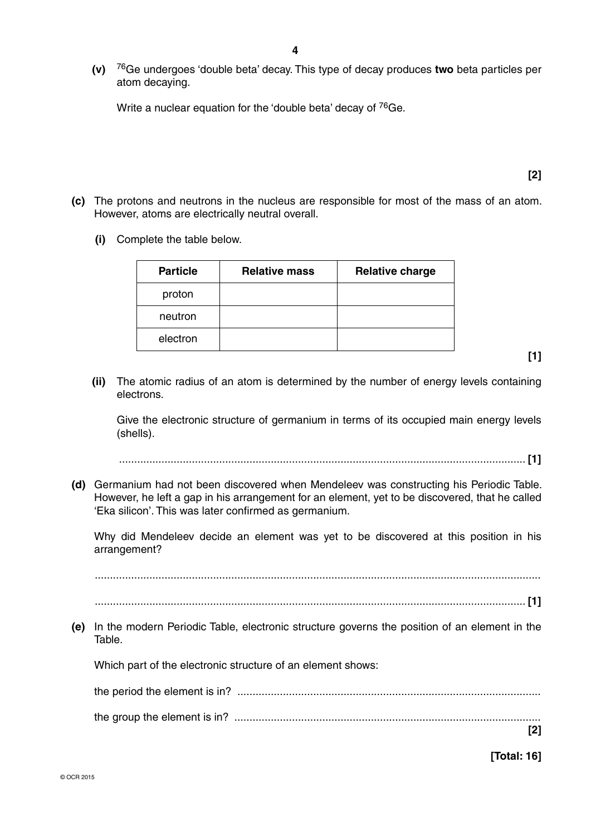**(v)** 76Ge undergoes 'double beta' decay. This type of decay produces **two** beta particles per atom decaying.

Write a nuclear equation for the 'double beta' decay of 76Ge.

- **(c)** The protons and neutrons in the nucleus are responsible for most of the mass of an atom. However, atoms are electrically neutral overall.
	- **(i)** Complete the table below.

| <b>Particle</b> | <b>Relative mass</b> | <b>Relative charge</b> |
|-----------------|----------------------|------------------------|
| proton          |                      |                        |
| neutron         |                      |                        |
| electron        |                      |                        |

**[1]**

 **(ii)** The atomic radius of an atom is determined by the number of energy levels containing electrons.

Give the electronic structure of germanium in terms of its occupied main energy levels (shells).

...................................................................................................................................... **[1]**

 **(d)** Germanium had not been discovered when Mendeleev was constructing his Periodic Table. However, he left a gap in his arrangement for an element, yet to be discovered, that he called 'Eka silicon'. This was later confirmed as germanium.

Why did Mendeleev decide an element was yet to be discovered at this position in his arrangement?

 ................................................................................................................................................... .............................................................................................................................................. **[1]**

 **(e)** In the modern Periodic Table, electronic structure governs the position of an element in the Table.

Which part of the electronic structure of an element shows:

the period the element is in? ....................................................................................................

the group the element is in? .....................................................................................................

**[2]**

**[Total: 16]**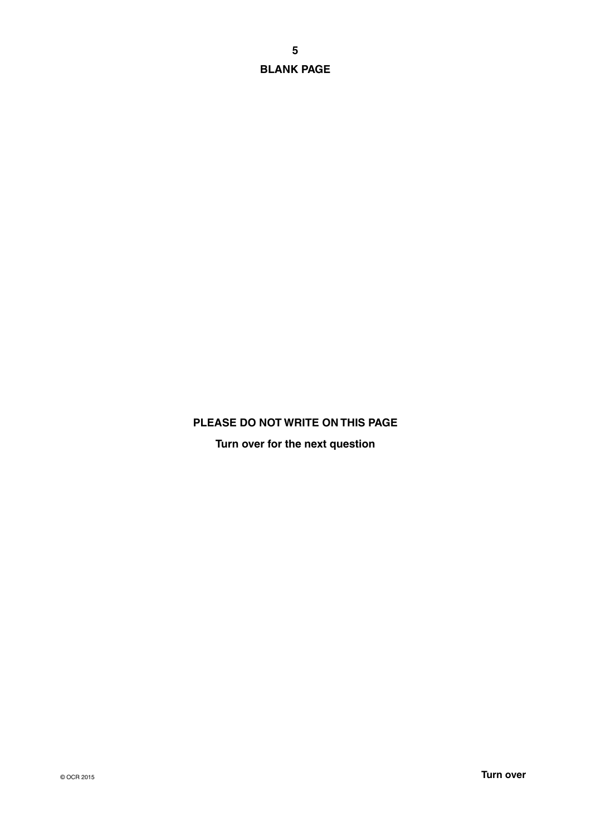**BLANK PAGE**

## **PLEASE DO NOT WRITE ON THIS PAGE**

## **Turn over for the next question**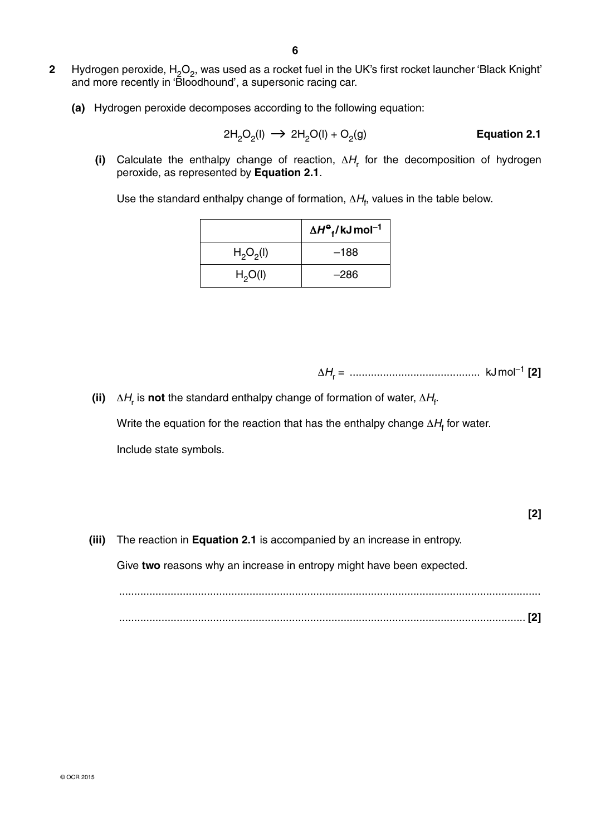- **2** Hydrogen peroxide, H<sub>2</sub>O<sub>2</sub>, was used as a rocket fuel in the UK's first rocket launcher 'Black Knight' and more recently in 'Bloodhound', a supersonic racing car.
	- **(a)** Hydrogen peroxide decomposes according to the following equation:

$$
2H_2O_2(I) \rightarrow 2H_2O(I) + O_2(g)
$$
 Equation 2.1

**(i)** Calculate the enthalpy change of reaction,  $\Delta H_r$  for the decomposition of hydrogen peroxide, as represented by **Equation 2.1**.

Use the standard enthalpy change of formation,  $\Delta H_{\text{f}}$ , values in the table below.

|                     | $\Delta H^{\Theta}$ <sub>f</sub> /kJ mol <sup>-1</sup> |
|---------------------|--------------------------------------------------------|
| $H_2O_2(I)$         | $-188$                                                 |
| H <sub>2</sub> O(l) | $-286$                                                 |

Δ*H*<sup>r</sup> = ........................................... kJ mol–1 **[2]**

**(ii)**  $\Delta H_r$  is **not** the standard enthalpy change of formation of water,  $\Delta H_f$ .

**Write the equation for the reaction that has the enthalpy change ΔH<sub>f</sub> for water.** Include state symbols.

 **(iii)** The reaction in **Equation 2.1** is accompanied by an increase in entropy.

Give **two** reasons why an increase in entropy might have been expected.

 ........................................................................................................................................... ...................................................................................................................................... **[2]**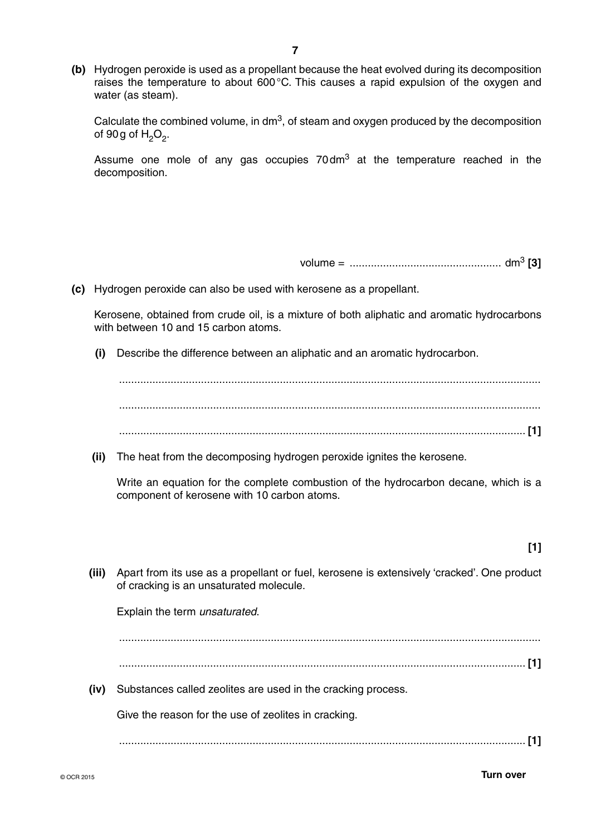**(b)** Hydrogen peroxide is used as a propellant because the heat evolved during its decomposition raises the temperature to about 600 °C. This causes a rapid expulsion of the oxygen and water (as steam).

Calculate the combined volume, in dm<sup>3</sup>, of steam and oxygen produced by the decomposition of 90 g of  $H_2O_2$ .

Assume one mole of any gas occupies 70 dm3 at the temperature reached in the decomposition.

volume = .................................................. dm3 **[3]**

 **(c)** Hydrogen peroxide can also be used with kerosene as a propellant.

Kerosene, obtained from crude oil, is a mixture of both aliphatic and aromatic hydrocarbons with between 10 and 15 carbon atoms.

 **(i)** Describe the difference between an aliphatic and an aromatic hydrocarbon.

 ........................................................................................................................................... ........................................................................................................................................... ...................................................................................................................................... **[1]**

 **(ii)** The heat from the decomposing hydrogen peroxide ignites the kerosene.

Write an equation for the complete combustion of the hydrocarbon decane, which is a component of kerosene with 10 carbon atoms.

**[1]**

 **(iii)** Apart from its use as a propellant or fuel, kerosene is extensively 'cracked'. One product of cracking is an unsaturated molecule. Explain the term *unsaturated*. ........................................................................................................................................... ...................................................................................................................................... **[1] (iv)** Substances called zeolites are used in the cracking process. Give the reason for the use of zeolites in cracking. ...................................................................................................................................... **[1]**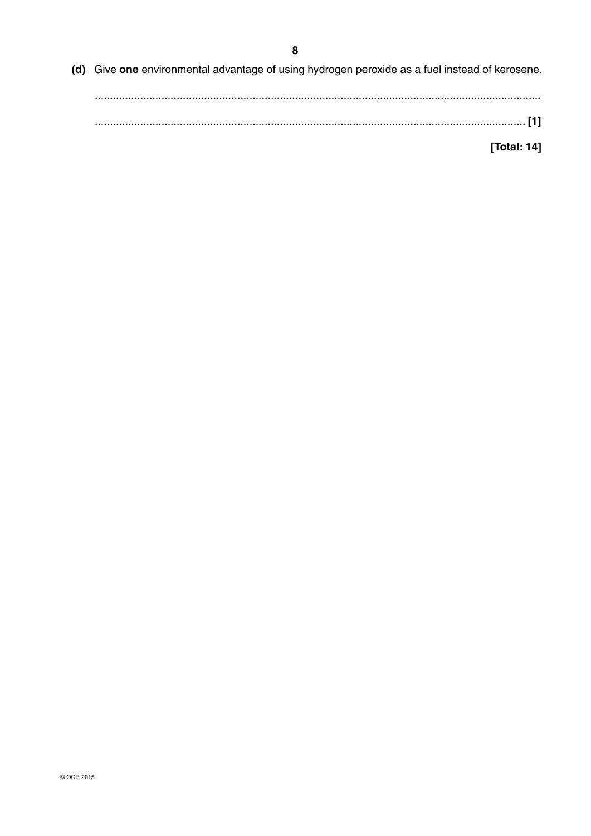(d) Give one environmental advantage of using hydrogen peroxide as a fuel instead of kerosene.

[Total: 14]

© OCR 2015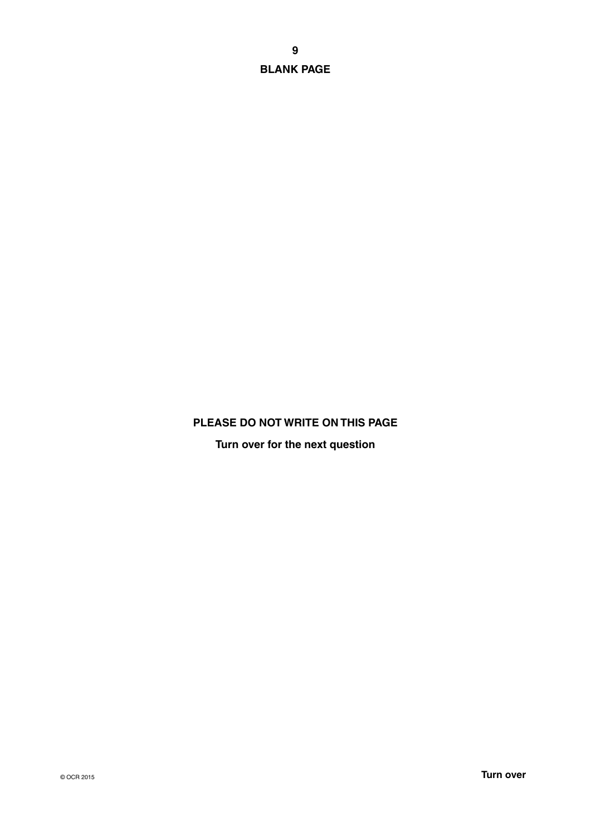**9 BLANK PAGE**

## **PLEASE DO NOT WRITE ON THIS PAGE**

**Turn over for the next question**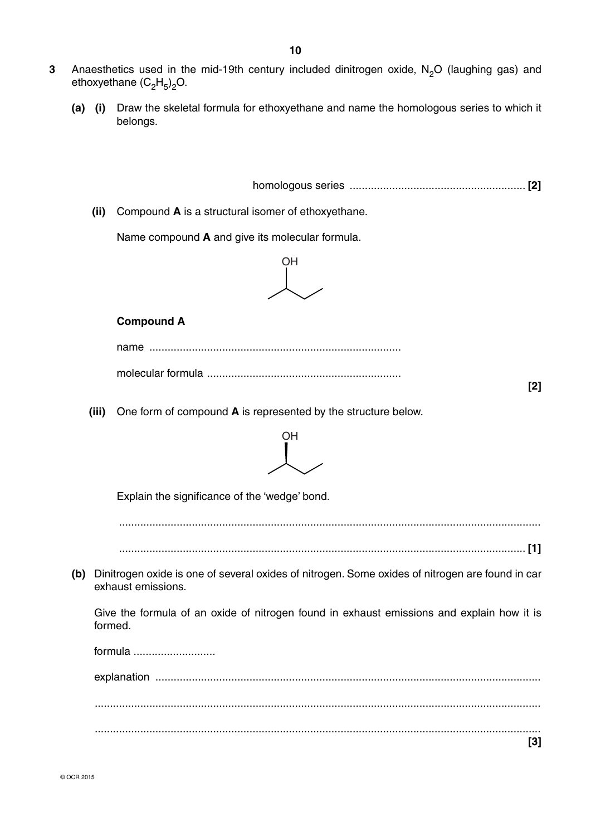- **3** Anaesthetics used in the mid-19th century included dinitrogen oxide, N<sub>2</sub>O (laughing gas) and ethoxyethane  $(\mathsf{C}_2\mathsf{H}_5)_2\mathsf{O}.$ 
	- **(a) (i)** Draw the skeletal formula for ethoxyethane and name the homologous series to which it belongs.

homologous series .......................................................... **[2]**

**[2]**

 **(ii)** Compound **A** is a structural isomer of ethoxyethane.

Name compound **A** and give its molecular formula.



## **Compound A**

 name ................................................................................... molecular formula ................................................................

 **(iii)** One form of compound **A** is represented by the structure below.



Explain the significance of the 'wedge' bond.

 ........................................................................................................................................... ...................................................................................................................................... **[1]**

 **(b)** Dinitrogen oxide is one of several oxides of nitrogen. Some oxides of nitrogen are found in car exhaust emissions.

Give the formula of an oxide of nitrogen found in exhaust emissions and explain how it is formed.

| formula |
|---------|
|         |
|         |
|         |
|         |
|         |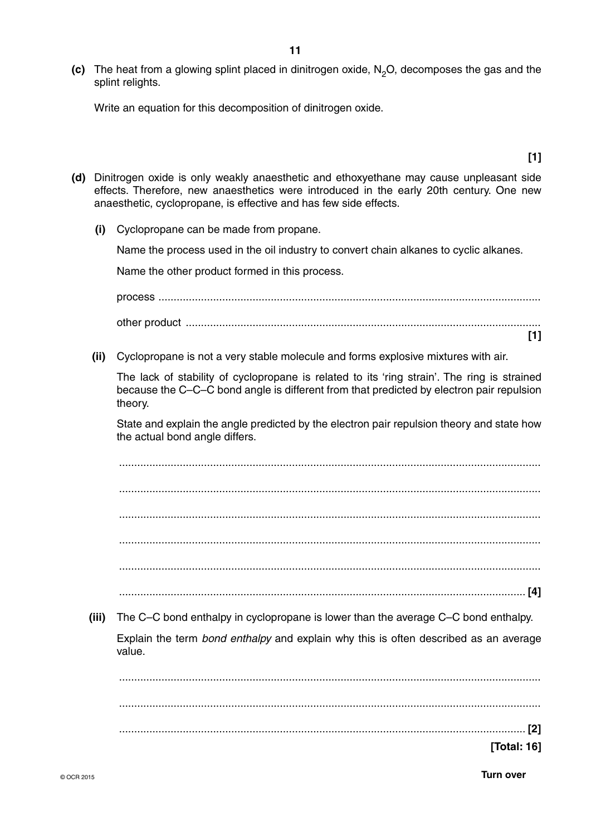Write an equation for this decomposition of dinitrogen oxide.

**[1]**

- **(d)** Dinitrogen oxide is only weakly anaesthetic and ethoxyethane may cause unpleasant side effects. Therefore, new anaesthetics were introduced in the early 20th century. One new anaesthetic, cyclopropane, is effective and has few side effects.
	- **(i)** Cyclopropane can be made from propane.

Name the process used in the oil industry to convert chain alkanes to cyclic alkanes.

Name the other product formed in this process.

process .............................................................................................................................. other product .....................................................................................................................

 **(ii)** Cyclopropane is not a very stable molecule and forms explosive mixtures with air.

The lack of stability of cyclopropane is related to its 'ring strain'. The ring is strained because the C–C–C bond angle is different from that predicted by electron pair repulsion theory.

State and explain the angle predicted by the electron pair repulsion theory and state how the actual bond angle differs.

 ........................................................................................................................................... ........................................................................................................................................... ........................................................................................................................................... ........................................................................................................................................... ...........................................................................................................................................

...................................................................................................................................... **[4]**

 **(iii)** The C–C bond enthalpy in cyclopropane is lower than the average C–C bond enthalpy.

Explain the term *bond enthalpy* and explain why this is often described as an average value.

 ........................................................................................................................................... ...................................................................................................................................... **[2]**

**[Total: 16]**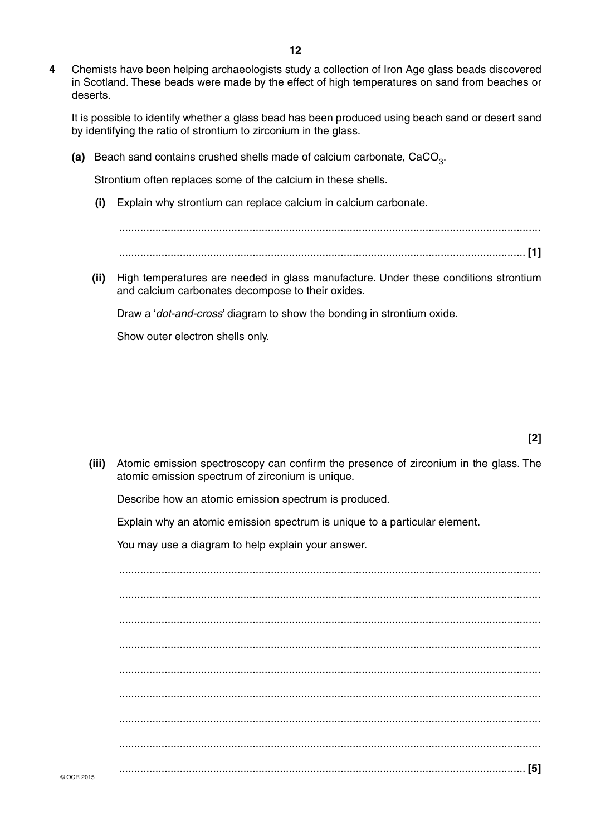**4** Chemists have been helping archaeologists study a collection of Iron Age glass beads discovered in Scotland. These beads were made by the effect of high temperatures on sand from beaches or deserts.

It is possible to identify whether a glass bead has been produced using beach sand or desert sand by identifying the ratio of strontium to zirconium in the glass.

**(a)** Beach sand contains crushed shells made of calcium carbonate, CaCO<sub>3</sub>.

Strontium often replaces some of the calcium in these shells.

 **(i)** Explain why strontium can replace calcium in calcium carbonate.

 ........................................................................................................................................... ...................................................................................................................................... **[1]**

 **(ii)** High temperatures are needed in glass manufacture. Under these conditions strontium and calcium carbonates decompose to their oxides.

Draw a '*dot-and-cross*' diagram to show the bonding in strontium oxide.

Show outer electron shells only.

© OCR 2015

 **(iii)** Atomic emission spectroscopy can confirm the presence of zirconium in the glass. The atomic emission spectrum of zirconium is unique.

Describe how an atomic emission spectrum is produced.

Explain why an atomic emission spectrum is unique to a particular element.

You may use a diagram to help explain your answer.

 ........................................................................................................................................... ........................................................................................................................................... ........................................................................................................................................... ........................................................................................................................................... ........................................................................................................................................... ........................................................................................................................................... ........................................................................................................................................... ........................................................................................................................................... ...................................................................................................................................... **[5]**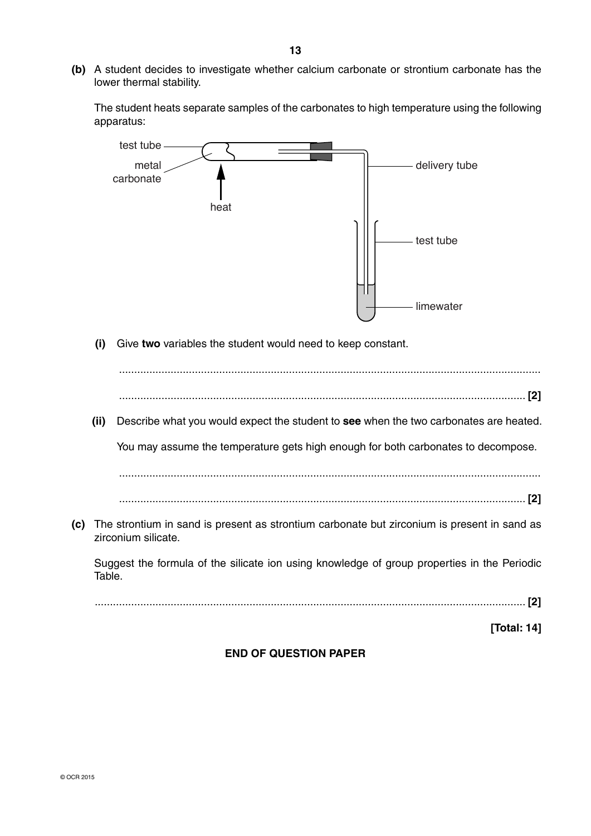**(b)** A student decides to investigate whether calcium carbonate or strontium carbonate has the lower thermal stability.

The student heats separate samples of the carbonates to high temperature using the following apparatus:



## **END OF QUESTION PAPER**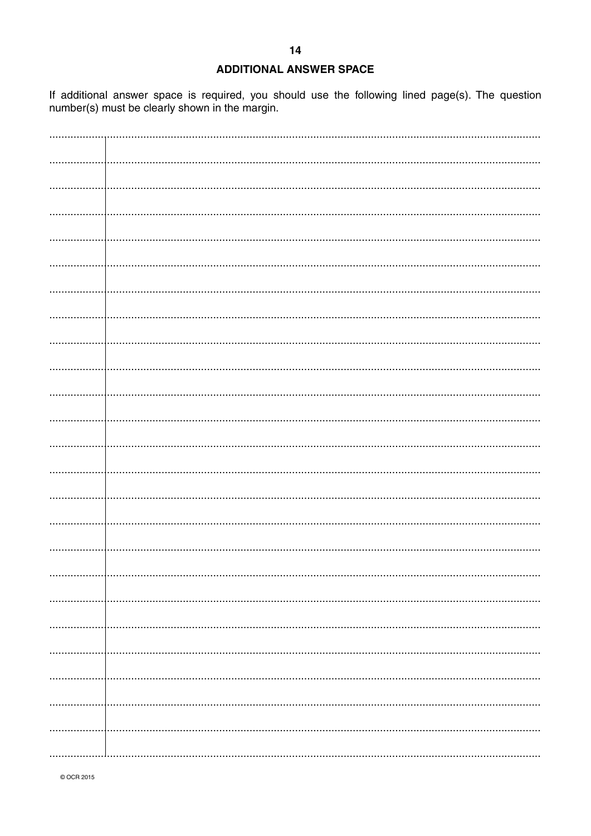## **ADDITIONAL ANSWER SPACE**

If additional answer space is required, you should use the following lined page(s). The question number(s) must be clearly shown in the margin.

© OCR 2015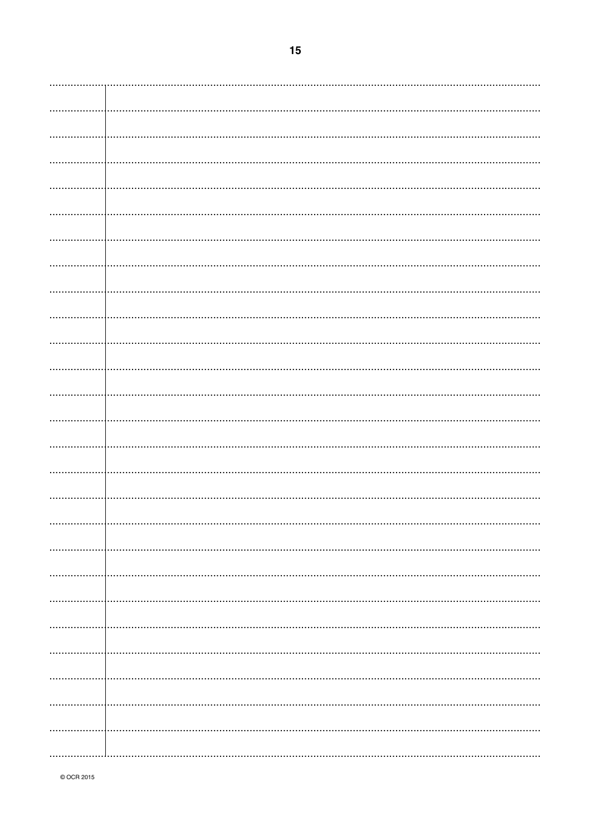. . . . . . . . . . . . . . ................. .................. .................